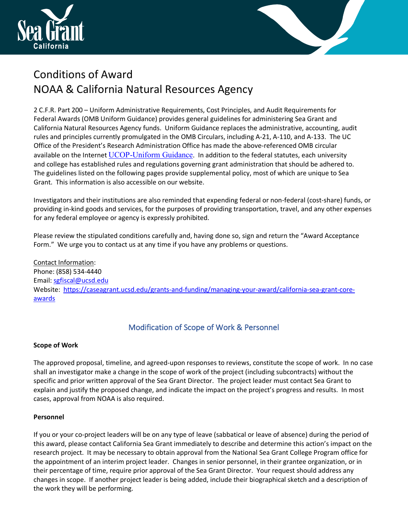



# Conditions of Award NOAA & California Natural Resources Agency

2 C.F.R. Part 200 – Uniform Administrative Requirements, Cost Principles, and Audit Requirements for Federal Awards (OMB Uniform Guidance) provides general guidelines for administering Sea Grant and California Natural Resources Agency funds. Uniform Guidance replaces the administrative, accounting, audit rules and principles currently promulgated in the OMB Circulars, including A-21, A-110, and A-133. The UC Office of the President's Research Administration Office has made the above-referenced OMB circular available on the Internet UCOP-Uniform Guidance. In addition to the federal statutes, each university and college has established rules and regulations governing grant administration that should be adhered to. The guidelines listed on the following pages provide supplemental policy, most of which are unique to Sea Grant. This information is also accessible on our website.

Investigators and their institutions are also reminded that expending federal or non-federal (cost-share) funds, or providing in-kind goods and services, for the purposes of providing transportation, travel, and any other expenses for any federal employee or agency is expressly prohibited.

Please review the stipulated conditions carefully and, having done so, sign and return the "Award Acceptance Form." We urge you to contact us at any time if you have any problems or questions.

Contact Information: Phone: (858) 534-4440 Email: sgfiscal@ucsd.edu Website: https://caseagrant.ucsd.edu/grants-and-funding/managing-your-award/california-sea-grant-coreawards

# Modification of Scope of Work & Personnel

# **Scope of Work**

The approved proposal, timeline, and agreed-upon responses to reviews, constitute the scope of work. In no case shall an investigator make a change in the scope of work of the project (including subcontracts) without the specific and prior written approval of the Sea Grant Director. The project leader must contact Sea Grant to explain and justify the proposed change, and indicate the impact on the project's progress and results. In most cases, approval from NOAA is also required.

# **Personnel**

If you or your co-project leaders will be on any type of leave (sabbatical or leave of absence) during the period of this award, please contact California Sea Grant immediately to describe and determine this action's impact on the research project. It may be necessary to obtain approval from the National Sea Grant College Program office for the appointment of an interim project leader. Changes in senior personnel, in their grantee organization, or in their percentage of time, require prior approval of the Sea Grant Director. Your request should address any changes in scope. If another project leader is being added, include their biographical sketch and a description of the work they will be performing.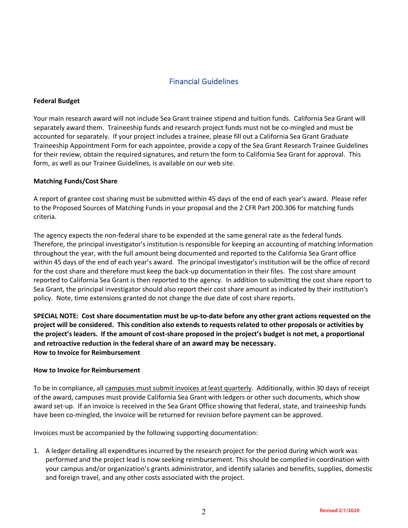### Financial Guidelines

### **Federal Budget**

Your main research award will not include Sea Grant trainee stipend and tuition funds. California Sea Grant will separately award them. Traineeship funds and research project funds must not be co-mingled and must be accounted for separately. If your project includes a trainee, please fill out a California Sea Grant Graduate Traineeship Appointment Form for each appointee, provide a copy of the Sea Grant Research Trainee Guidelines for their review, obtain the required signatures, and return the form to California Sea Grant for approval. This form, as well as our Trainee Guidelines, is available on our web site.

### **Matching Funds/Cost Share**

A report of grantee cost sharing must be submitted within 45 days of the end of each year's award. Please refer to the Proposed Sources of Matching Funds in your proposal and the 2 CFR Part 200.306 for matching funds criteria.

The agency expects the non-federal share to be expended at the same general rate as the federal funds. Therefore, the principal investigator's institution is responsible for keeping an accounting of matching information throughout the year, with the full amount being documented and reported to the California Sea Grant office within 45 days of the end of each year's award. The principal investigator's institution will be the office of record for the cost share and therefore must keep the back-up documentation in their files. The cost share amount reported to California Sea Grant is then reported to the agency. In addition to submitting the cost share report to Sea Grant, the principal investigator should also report their cost share amount as indicated by their institution's policy. Note, time extensions granted do not change the due date of cost share reports.

**SPECIAL NOTE: Cost share documentation must be up-to-date before any other grant actions requested on the project will be considered. This condition also extends to requests related to other proposals or activities by the project's leaders. If the amount of cost-share proposed in the project's budget is not met, a proportional and retroactive reduction in the federal share of an award may be necessary. How to Invoice for Reimbursement**

### **How to Invoice for Reimbursement**

To be in compliance, all campuses must submit invoices at least quarterly. Additionally, within 30 days of receipt of the award, campuses must provide California Sea Grant with ledgers or other such documents, which show award set-up. If an invoice is received in the Sea Grant Office showing that federal, state, and traineeship funds have been co-mingled, the invoice will be returned for revision before payment can be approved.

Invoices must be accompanied by the following supporting documentation:

1. A ledger detailing all expenditures incurred by the research project for the period during which work was performed and the project lead is now seeking reimbursement. This should be compiled in coordination with your campus and/or organization's grants administrator, and identify salaries and benefits, supplies, domestic and foreign travel, and any other costs associated with the project.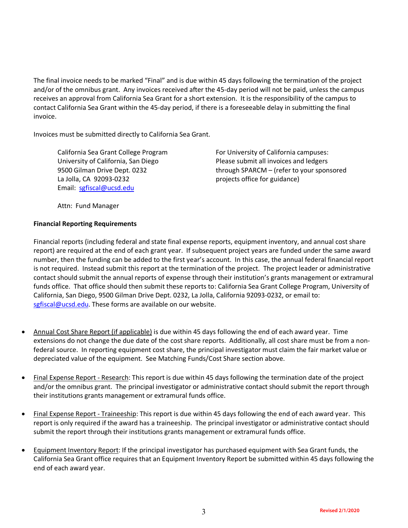The final invoice needs to be marked "Final" and is due within 45 days following the termination of the project and/or of the omnibus grant. Any invoices received after the 45-day period will not be paid, unless the campus receives an approval from California Sea Grant for a short extension. It is the responsibility of the campus to contact California Sea Grant within the 45-day period, if there is a foreseeable delay in submitting the final invoice.

Invoices must be submitted directly to California Sea Grant.

La Jolla, CA 92093-0232 **Example 1** projects office for guidance) Email: sgfiscal@ucsd.edu

California Sea Grant College Program For University of California campuses: University of California, San Diego Please submit all invoices and ledgers 9500 Gilman Drive Dept. 0232 through SPARCM – (refer to your sponsored

Attn: Fund Manager

### **Financial Reporting Requirements**

Financial reports (including federal and state final expense reports, equipment inventory, and annual cost share report) are required at the end of each grant year. If subsequent project years are funded under the same award number, then the funding can be added to the first year's account. In this case, the annual federal financial report is not required. Instead submit this report at the termination of the project. The project leader or administrative contact should submit the annual reports of expense through their institution's grants management or extramural funds office. That office should then submit these reports to: California Sea Grant College Program, University of California, San Diego, 9500 Gilman Drive Dept. 0232, La Jolla, California 92093-0232, or email to: sgfiscal@ucsd.edu. These forms are available on our website.

- Annual Cost Share Report (if applicable) is due within 45 days following the end of each award year. Time extensions do not change the due date of the cost share reports. Additionally, all cost share must be from a nonfederal source. In reporting equipment cost share, the principal investigator must claim the fair market value or depreciated value of the equipment. See Matching Funds/Cost Share section above.
- Final Expense Report Research: This report is due within 45 days following the termination date of the project and/or the omnibus grant. The principal investigator or administrative contact should submit the report through their institutions grants management or extramural funds office.
- Final Expense Report Traineeship: This report is due within 45 days following the end of each award year. This report is only required if the award has a traineeship. The principal investigator or administrative contact should submit the report through their institutions grants management or extramural funds office.
- Equipment Inventory Report: If the principal investigator has purchased equipment with Sea Grant funds, the California Sea Grant office requires that an Equipment Inventory Report be submitted within 45 days following the end of each award year.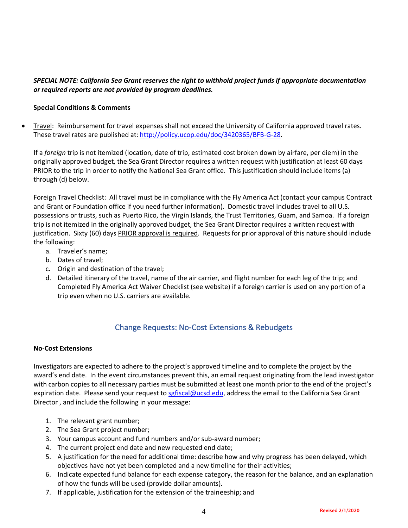### *SPECIAL NOTE: California Sea Grant reserves the right to withhold project funds if appropriate documentation or required reports are not provided by program deadlines.*

### **Special Conditions & Comments**

• Travel: Reimbursement for travel expenses shall not exceed the University of California approved travel rates. These travel rates are published at: http://policy.ucop.edu/doc/3420365/BFB-G-28.

If a *foreign* trip is not itemized (location, date of trip, estimated cost broken down by airfare, per diem) in the originally approved budget, the Sea Grant Director requires a written request with justification at least 60 days PRIOR to the trip in order to notify the National Sea Grant office. This justification should include items (a) through (d) below.

Foreign Travel Checklist: All travel must be in compliance with the Fly America Act (contact your campus Contract and Grant or Foundation office if you need further information). Domestic travel includes travel to all U.S. possessions or trusts, such as Puerto Rico, the Virgin Islands, the Trust Territories, Guam, and Samoa. If a foreign trip is not itemized in the originally approved budget, the Sea Grant Director requires a written request with justification. Sixty (60) days PRIOR approval is required. Requests for prior approval of this nature should include the following:

- a. Traveler's name;
- b. Dates of travel;
- c. Origin and destination of the travel;
- d. Detailed itinerary of the travel, name of the air carrier, and flight number for each leg of the trip; and Completed Fly America Act Waiver Checklist (see website) if a foreign carrier is used on any portion of a trip even when no U.S. carriers are available.

### Change Requests: No-Cost Extensions & Rebudgets

### **No-Cost Extensions**

Investigators are expected to adhere to the project's approved timeline and to complete the project by the award's end date. In the event circumstances prevent this, an email request originating from the lead investigator with carbon copies to all necessary parties must be submitted at least one month prior to the end of the project's expiration date. Please send your request to sgfiscal@ucsd.edu, address the email to the California Sea Grant Director , and include the following in your message:

- 1. The relevant grant number;
- 2. The Sea Grant project number;
- 3. Your campus account and fund numbers and/or sub-award number;
- 4. The current project end date and new requested end date;
- 5. A justification for the need for additional time: describe how and why progress has been delayed, which objectives have not yet been completed and a new timeline for their activities;
- 6. Indicate expected fund balance for each expense category, the reason for the balance, and an explanation of how the funds will be used (provide dollar amounts).
- 7. If applicable, justification for the extension of the traineeship; and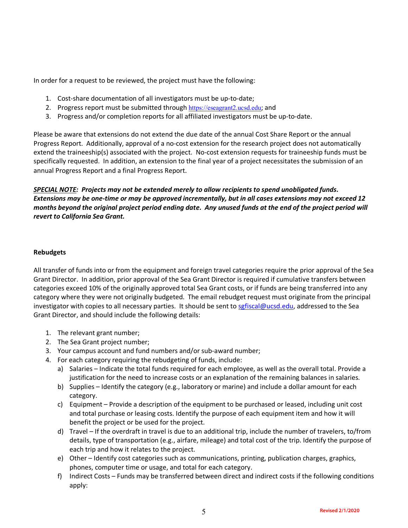In order for a request to be reviewed, the project must have the following:

- 1. Cost-share documentation of all investigators must be up-to-date;
- 2. Progress report must be submitted through https://eseagrant2.ucsd.edu; and
- 3. Progress and/or completion reports for all affiliated investigators must be up-to-date.

Please be aware that extensions do not extend the due date of the annual Cost Share Report or the annual Progress Report. Additionally, approval of a no-cost extension for the research project does not automatically extend the traineeship(s) associated with the project. No-cost extension requests for traineeship funds must be specifically requested. In addition, an extension to the final year of a project necessitates the submission of an annual Progress Report and a final Progress Report.

*SPECIAL NOTE: Projects may not be extended merely to allow recipients to spend unobligated funds. Extensions may be one-time or may be approved incrementally, but in all cases extensions may not exceed 12 months beyond the original project period ending date. Any unused funds at the end of the project period will revert to California Sea Grant.*

### **Rebudgets**

All transfer of funds into or from the equipment and foreign travel categories require the prior approval of the Sea Grant Director. In addition, prior approval of the Sea Grant Director is required if cumulative transfers between categories exceed 10% of the originally approved total Sea Grant costs, or if funds are being transferred into any category where they were not originally budgeted. The email rebudget request must originate from the principal investigator with copies to all necessary parties. It should be sent to sgfiscal@ucsd.edu, addressed to the Sea Grant Director, and should include the following details:

- 1. The relevant grant number;
- 2. The Sea Grant project number;
- 3. Your campus account and fund numbers and/or sub-award number;
- 4. For each category requiring the rebudgeting of funds, include:
	- a) Salaries Indicate the total funds required for each employee, as well as the overall total. Provide a justification for the need to increase costs or an explanation of the remaining balances in salaries.
	- b) Supplies Identify the category (e.g., laboratory or marine) and include a dollar amount for each category.
	- c) Equipment Provide a description of the equipment to be purchased or leased, including unit cost and total purchase or leasing costs. Identify the purpose of each equipment item and how it will benefit the project or be used for the project.
	- d) Travel If the overdraft in travel is due to an additional trip, include the number of travelers, to/from details, type of transportation (e.g., airfare, mileage) and total cost of the trip. Identify the purpose of each trip and how it relates to the project.
	- e) Other Identify cost categories such as communications, printing, publication charges, graphics, phones, computer time or usage, and total for each category.
	- f) Indirect Costs Funds may be transferred between direct and indirect costs if the following conditions apply: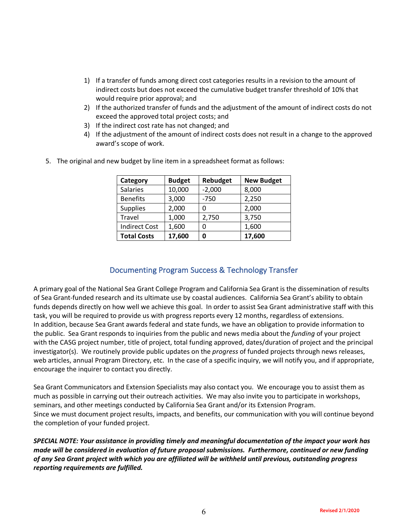- 1) If a transfer of funds among direct cost categories results in a revision to the amount of indirect costs but does not exceed the cumulative budget transfer threshold of 10% that would require prior approval; and
- 2) If the authorized transfer of funds and the adjustment of the amount of indirect costs do not exceed the approved total project costs; and
- 3) If the indirect cost rate has not changed; and
- 4) If the adjustment of the amount of indirect costs does not result in a change to the approved award's scope of work.

| Category             | <b>Budget</b> | Rebudget | <b>New Budget</b> |
|----------------------|---------------|----------|-------------------|
| <b>Salaries</b>      | 10,000        | $-2,000$ | 8,000             |
| <b>Benefits</b>      | 3,000         | $-750$   | 2,250             |
| <b>Supplies</b>      | 2,000         | ი        | 2,000             |
| Travel               | 1,000         | 2,750    | 3,750             |
| <b>Indirect Cost</b> | 1,600         | 0        | 1,600             |
| <b>Total Costs</b>   | 17,600        | 0        | 17,600            |

5. The original and new budget by line item in a spreadsheet format as follows:

# Documenting Program Success & Technology Transfer

A primary goal of the National Sea Grant College Program and California Sea Grant is the dissemination of results of Sea Grant-funded research and its ultimate use by coastal audiences. California Sea Grant's ability to obtain funds depends directly on how well we achieve this goal. In order to assist Sea Grant administrative staff with this task, you will be required to provide us with progress reports every 12 months, regardless of extensions. In addition, because Sea Grant awards federal and state funds, we have an obligation to provide information to the public. Sea Grant responds to inquiries from the public and news media about the *funding* of your project with the CASG project number, title of project, total funding approved, dates/duration of project and the principal investigator(s). We routinely provide public updates on the *progress* of funded projects through news releases, web articles, annual Program Directory, etc. In the case of a specific inquiry, we will notify you, and if appropriate, encourage the inquirer to contact you directly.

Sea Grant Communicators and Extension Specialists may also contact you. We encourage you to assist them as much as possible in carrying out their outreach activities. We may also invite you to participate in workshops, seminars, and other meetings conducted by California Sea Grant and/or its Extension Program. Since we must document project results, impacts, and benefits, our communication with you will continue beyond the completion of your funded project.

*SPECIAL NOTE: Your assistance in providing timely and meaningful documentation of the impact your work has made will be considered in evaluation of future proposal submissions. Furthermore, continued or new funding of any Sea Grant project with which you are affiliated will be withheld until previous, outstanding progress reporting requirements are fulfilled.*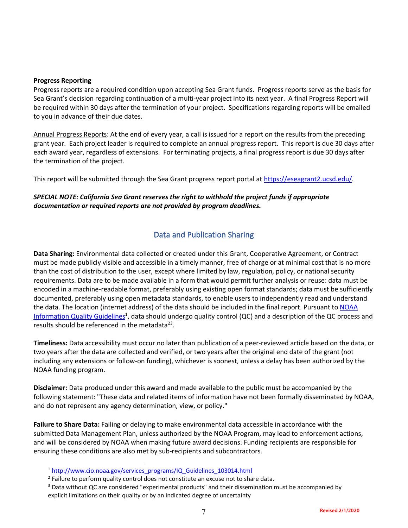#### **Progress Reporting**

 $\overline{a}$ 

Progress reports are a required condition upon accepting Sea Grant funds. Progress reports serve as the basis for Sea Grant's decision regarding continuation of a multi-year project into its next year. A final Progress Report will be required within 30 days after the termination of your project. Specifications regarding reports will be emailed to you in advance of their due dates.

Annual Progress Reports: At the end of every year, a call is issued for a report on the results from the preceding grant year. Each project leader is required to complete an annual progress report. This report is due 30 days after each award year, regardless of extensions. For terminating projects, a final progress report is due 30 days after the termination of the project.

This report will be submitted through the Sea Grant progress report portal at https://eseagrant2.ucsd.edu/.

### *SPECIAL NOTE: California Sea Grant reserves the right to withhold the project funds if appropriate documentation or required reports are not provided by program deadlines.*

### Data and Publication Sharing

**Data Sharing:** Environmental data collected or created under this Grant, Cooperative Agreement, or Contract must be made publicly visible and accessible in a timely manner, free of charge or at minimal cost that is no more than the cost of distribution to the user, except where limited by law, regulation, policy, or national security requirements. Data are to be made available in a form that would permit further analysis or reuse: data must be encoded in a machine-readable format, preferably using existing open format standards; data must be sufficiently documented, preferably using open metadata standards, to enable users to independently read and understand the data. The location (internet address) of the data should be included in the final report. Pursuant to NOAA Information Quality Guidelines<sup>1</sup>, data should undergo quality control (QC) and a description of the QC process and results should be referenced in the metadata<sup>23</sup>.

**Timeliness:** Data accessibility must occur no later than publication of a peer-reviewed article based on the data, or two years after the data are collected and verified, or two years after the original end date of the grant (not including any extensions or follow-on funding), whichever is soonest, unless a delay has been authorized by the NOAA funding program.

**Disclaimer:** Data produced under this award and made available to the public must be accompanied by the following statement: "These data and related items of information have not been formally disseminated by NOAA, and do not represent any agency determination, view, or policy."

**Failure to Share Data:** Failing or delaying to make environmental data accessible in accordance with the submitted Data Management Plan, unless authorized by the NOAA Program, may lead to enforcement actions, and will be considered by NOAA when making future award decisions. Funding recipients are responsible for ensuring these conditions are also met by sub-recipients and subcontractors.

<sup>&</sup>lt;sup>1</sup> http://www.cio.noaa.gov/services\_programs/IQ\_Guidelines\_103014.html

<sup>&</sup>lt;sup>2</sup> Failure to perform quality control does not constitute an excuse not to share data.

<sup>&</sup>lt;sup>3</sup> Data without QC are considered "experimental products" and their dissemination must be accompanied by explicit limitations on their quality or by an indicated degree of uncertainty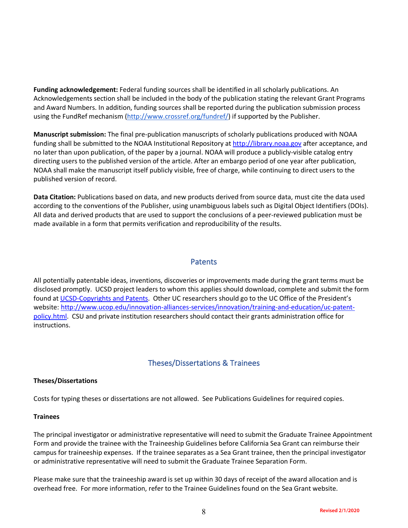**Funding acknowledgement:** Federal funding sources shall be identified in all scholarly publications. An Acknowledgements section shall be included in the body of the publication stating the relevant Grant Programs and Award Numbers. In addition, funding sources shall be reported during the publication submission process using the FundRef mechanism (http://www.crossref.org/fundref/) if supported by the Publisher.

**Manuscript submission:** The final pre-publication manuscripts of scholarly publications produced with NOAA funding shall be submitted to the NOAA Institutional Repository at http://library.noaa.gov after acceptance, and no later than upon publication, of the paper by a journal. NOAA will produce a publicly-visible catalog entry directing users to the published version of the article. After an embargo period of one year after publication, NOAA shall make the manuscript itself publicly visible, free of charge, while continuing to direct users to the published version of record.

**Data Citation:** Publications based on data, and new products derived from source data, must cite the data used according to the conventions of the Publisher, using unambiguous labels such as Digital Object Identifiers (DOIs). All data and derived products that are used to support the conclusions of a peer-reviewed publication must be made available in a form that permits verification and reproducibility of the results.

### Patents

All potentially patentable ideas, inventions, discoveries or improvements made during the grant terms must be disclosed promptly. UCSD project leaders to whom this applies should download, complete and submit the form found at UCSD-Copyrights and Patents. Other UC researchers should go to the UC Office of the President's website: http://www.ucop.edu/innovation-alliances-services/innovation/training-and-education/uc-patentpolicy.html. CSU and private institution researchers should contact their grants administration office for instructions.

### Theses/Dissertations & Trainees

### **Theses/Dissertations**

Costs for typing theses or dissertations are not allowed. See Publications Guidelines for required copies.

### **Trainees**

The principal investigator or administrative representative will need to submit the Graduate Trainee Appointment Form and provide the trainee with the Traineeship Guidelines before California Sea Grant can reimburse their campus for traineeship expenses. If the trainee separates as a Sea Grant trainee, then the principal investigator or administrative representative will need to submit the Graduate Trainee Separation Form.

Please make sure that the traineeship award is set up within 30 days of receipt of the award allocation and is overhead free. For more information, refer to the Trainee Guidelines found on the Sea Grant website.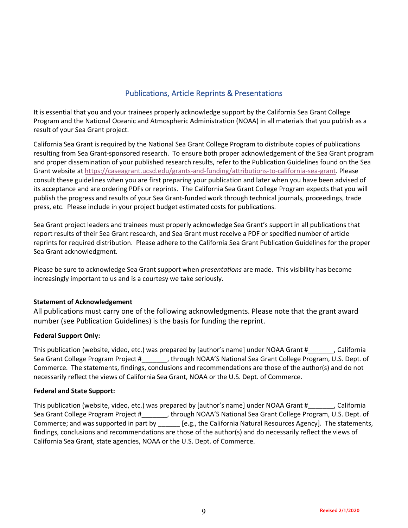### Publications, Article Reprints & Presentations

It is essential that you and your trainees properly acknowledge support by the California Sea Grant College Program and the National Oceanic and Atmospheric Administration (NOAA) in all materials that you publish as a result of your Sea Grant project.

California Sea Grant is required by the National Sea Grant College Program to distribute copies of publications resulting from Sea Grant-sponsored research. To ensure both proper acknowledgement of the Sea Grant program and proper dissemination of your published research results, refer to the Publication Guidelines found on the Sea Grant website at https://caseagrant.ucsd.edu/grants-and-funding/attributions-to-california-sea-grant. Please consult these guidelines when you are first preparing your publication and later when you have been advised of its acceptance and are ordering PDFs or reprints. The California Sea Grant College Program expects that you will publish the progress and results of your Sea Grant-funded work through technical journals, proceedings, trade press, etc. Please include in your project budget estimated costs for publications.

Sea Grant project leaders and trainees must properly acknowledge Sea Grant's support in all publications that report results of their Sea Grant research, and Sea Grant must receive a PDF or specified number of article reprints for required distribution. Please adhere to the California Sea Grant Publication Guidelines for the proper Sea Grant acknowledgment.

Please be sure to acknowledge Sea Grant support when *presentations* are made. This visibility has become increasingly important to us and is a courtesy we take seriously.

### **Statement of Acknowledgement**

All publications must carry one of the following acknowledgments. Please note that the grant award number (see Publication Guidelines) is the basis for funding the reprint.

### **Federal Support Only:**

This publication (website, video, etc.) was prepared by [author's name] under NOAA Grant #\_\_\_\_\_\_\_, California Sea Grant College Program Project #\_\_\_\_\_\_\_, through NOAA'S National Sea Grant College Program, U.S. Dept. of Commerce. The statements, findings, conclusions and recommendations are those of the author(s) and do not necessarily reflect the views of California Sea Grant, NOAA or the U.S. Dept. of Commerce.

### **Federal and State Support:**

This publication (website, video, etc.) was prepared by [author's name] under NOAA Grant # \_\_\_\_\_, California Sea Grant College Program Project #\_\_\_\_\_\_\_, through NOAA'S National Sea Grant College Program, U.S. Dept. of Commerce; and was supported in part by \_\_\_\_\_\_ [e.g., the California Natural Resources Agency]. The statements, findings, conclusions and recommendations are those of the author(s) and do necessarily reflect the views of California Sea Grant, state agencies, NOAA or the U.S. Dept. of Commerce.